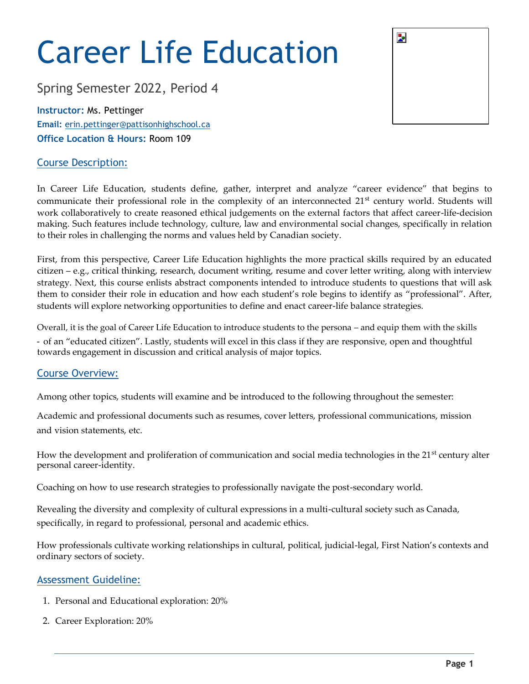# Career Life Education

Spring Semester 2022, Period 4

**Instructor:** Ms. Pettinger **Email:** erin.pettinger@pattisonhighschool.ca **Office Location & Hours:** Room 109

# Course Description:

In Career Life Education, students define, gather, interpret and analyze "career evidence" that begins to communicate their professional role in the complexity of an interconnected 21<sup>st</sup> century world. Students will work collaboratively to create reasoned ethical judgements on the external factors that affect career-life-decision making. Such features include technology, culture, law and environmental social changes, specifically in relation to their roles in challenging the norms and values held by Canadian society.

First, from this perspective, Career Life Education highlights the more practical skills required by an educated citizen – e.g., critical thinking, research, document writing, resume and cover letter writing, along with interview strategy. Next, this course enlists abstract components intended to introduce students to questions that will ask them to consider their role in education and how each student's role begins to identify as "professional". After, students will explore networking opportunities to define and enact career-life balance strategies.

Overall, it is the goal of Career Life Education to introduce students to the persona – and equip them with the skills - of an "educated citizen". Lastly, students will excel in this class if they are responsive, open and thoughtful towards engagement in discussion and critical analysis of major topics.

# Course Overview:

Among other topics, students will examine and be introduced to the following throughout the semester:

Academic and professional documents such as resumes, cover letters, professional communications, mission and vision statements, etc.

How the development and proliferation of communication and social media technologies in the 21<sup>st</sup> century alter personal career-identity.

Coaching on how to use research strategies to professionally navigate the post-secondary world.

Revealing the diversity and complexity of cultural expressions in a multi-cultural society such as Canada, specifically, in regard to professional, personal and academic ethics.

How professionals cultivate working relationships in cultural, political, judicial-legal, First Nation's contexts and ordinary sectors of society.

# Assessment Guideline:

- 1. Personal and Educational exploration: 20%
- 2. Career Exploration: 20%

| þ. |  |  |
|----|--|--|
|    |  |  |
|    |  |  |
|    |  |  |
|    |  |  |